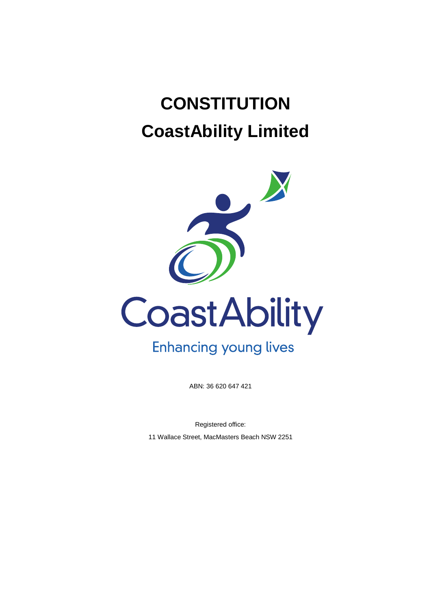# **CONSTITUTION CoastAbility Limited**



ABN: 36 620 647 421

Registered office:

11 Wallace Street, MacMasters Beach NSW 2251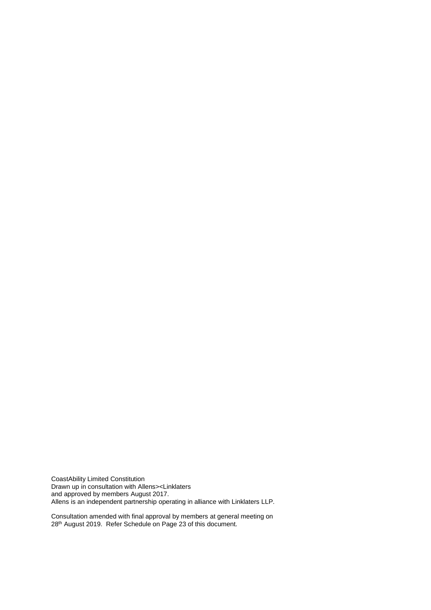CoastAbility Limited Constitution Drawn up in consultation with Allens><Linklaters and approved by members August 2017. Allens is an independent partnership operating in alliance with Linklaters LLP.

Consultation amended with final approval by members at general meeting on 28<sup>th</sup> August 2019. Refer Schedule on Page 23 of this document.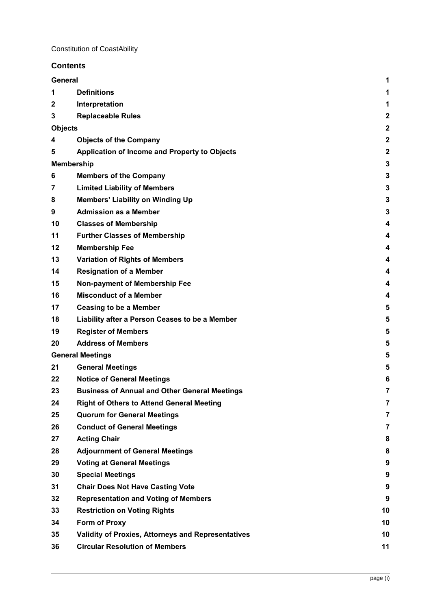# **Contents**

|             | General                                              | 1                       |
|-------------|------------------------------------------------------|-------------------------|
| 1           | <b>Definitions</b>                                   | 1                       |
| $\mathbf 2$ | Interpretation                                       | 1                       |
| 3           | <b>Replaceable Rules</b>                             | $\overline{\mathbf{c}}$ |
|             | <b>Objects</b>                                       | $\overline{\mathbf{c}}$ |
| 4           | <b>Objects of the Company</b>                        | $\overline{2}$          |
| 5           | Application of Income and Property to Objects        | $\overline{2}$          |
|             | <b>Membership</b>                                    | 3                       |
| 6           | <b>Members of the Company</b>                        | 3                       |
| 7           | <b>Limited Liability of Members</b>                  | 3                       |
| 8           | <b>Members' Liability on Winding Up</b>              | 3                       |
| 9           | <b>Admission as a Member</b>                         | 3                       |
| 10          | <b>Classes of Membership</b>                         | 4                       |
| 11          | <b>Further Classes of Membership</b>                 | 4                       |
| 12          | <b>Membership Fee</b>                                | 4                       |
| 13          | <b>Variation of Rights of Members</b>                | 4                       |
| 14          | <b>Resignation of a Member</b>                       | 4                       |
| 15          | Non-payment of Membership Fee                        | 4                       |
| 16          | <b>Misconduct of a Member</b>                        | 4                       |
| 17          | <b>Ceasing to be a Member</b>                        | 5                       |
| 18          | Liability after a Person Ceases to be a Member       | 5                       |
| 19          | <b>Register of Members</b>                           | 5                       |
| 20          | <b>Address of Members</b>                            | 5                       |
|             | <b>General Meetings</b>                              | 5                       |
| 21          | <b>General Meetings</b>                              | 5                       |
| 22          | <b>Notice of General Meetings</b>                    | 6                       |
| 23          | <b>Business of Annual and Other General Meetings</b> | $\overline{7}$          |
| 24          | <b>Right of Others to Attend General Meeting</b>     | 7                       |
| 25          | <b>Quorum for General Meetings</b>                   | $\overline{7}$          |
| 26          | <b>Conduct of General Meetings</b>                   | 7                       |
| 27          | <b>Acting Chair</b>                                  | 8                       |
| 28          | <b>Adjournment of General Meetings</b>               | 8                       |
| 29          | <b>Voting at General Meetings</b>                    | 9                       |
| 30          | <b>Special Meetings</b>                              | 9                       |
| 31          | <b>Chair Does Not Have Casting Vote</b>              | 9                       |
| 32          | <b>Representation and Voting of Members</b>          | 9                       |
| 33          | <b>Restriction on Voting Rights</b>                  | 10                      |
| 34          | Form of Proxy                                        | 10                      |
| 35          | Validity of Proxies, Attorneys and Representatives   | 10                      |
| 36          | <b>Circular Resolution of Members</b>                | 11                      |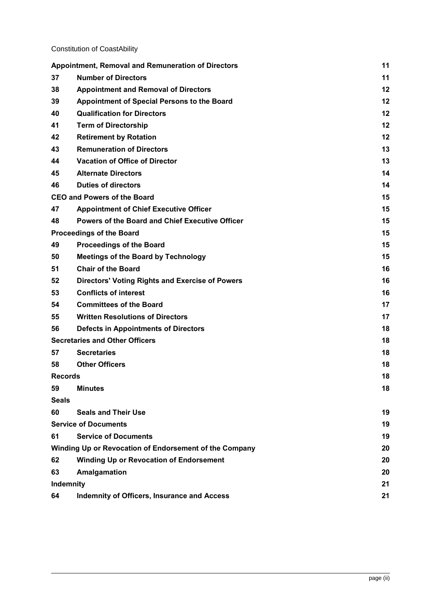|                | <b>Appointment, Removal and Remuneration of Directors</b> | 11 |
|----------------|-----------------------------------------------------------|----|
| 37             | <b>Number of Directors</b>                                | 11 |
| 38             | <b>Appointment and Removal of Directors</b>               | 12 |
| 39             | Appointment of Special Persons to the Board               | 12 |
| 40             | <b>Qualification for Directors</b>                        | 12 |
| 41             | <b>Term of Directorship</b>                               | 12 |
| 42             | <b>Retirement by Rotation</b>                             | 12 |
| 43             | <b>Remuneration of Directors</b>                          | 13 |
| 44             | <b>Vacation of Office of Director</b>                     | 13 |
| 45             | <b>Alternate Directors</b>                                | 14 |
| 46             | <b>Duties of directors</b>                                | 14 |
|                | <b>CEO and Powers of the Board</b>                        | 15 |
| 47             | <b>Appointment of Chief Executive Officer</b>             | 15 |
| 48             | Powers of the Board and Chief Executive Officer           | 15 |
|                | <b>Proceedings of the Board</b>                           | 15 |
| 49             | <b>Proceedings of the Board</b>                           | 15 |
| 50             | <b>Meetings of the Board by Technology</b>                | 15 |
| 51             | <b>Chair of the Board</b>                                 | 16 |
| 52             | <b>Directors' Voting Rights and Exercise of Powers</b>    | 16 |
| 53             | <b>Conflicts of interest</b>                              | 16 |
| 54             | <b>Committees of the Board</b>                            | 17 |
| 55             | <b>Written Resolutions of Directors</b>                   | 17 |
| 56             | <b>Defects in Appointments of Directors</b>               | 18 |
|                | <b>Secretaries and Other Officers</b>                     | 18 |
| 57             | <b>Secretaries</b>                                        | 18 |
| 58             | <b>Other Officers</b>                                     | 18 |
| <b>Records</b> | 18                                                        |    |
| 59             | <b>Minutes</b>                                            | 18 |
| <b>Seals</b>   |                                                           |    |
| 60             | <b>Seals and Their Use</b>                                | 19 |
|                | <b>Service of Documents</b>                               | 19 |
| 61             | <b>Service of Documents</b>                               | 19 |
|                | Winding Up or Revocation of Endorsement of the Company    | 20 |
| 62             | <b>Winding Up or Revocation of Endorsement</b>            | 20 |
| 63             | Amalgamation                                              | 20 |
| Indemnity      |                                                           | 21 |
| 64             | <b>Indemnity of Officers, Insurance and Access</b>        | 21 |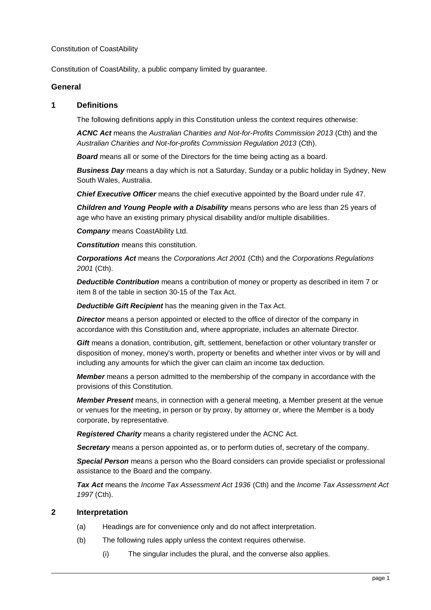Constitution of CoastAbility, a public company limited by guarantee.

#### <span id="page-4-0"></span>**General**

#### <span id="page-4-1"></span>**1 Definitions**

The following definitions apply in this Constitution unless the context requires otherwise:

*ACNC Act* means the *Australian Charities and Not-for-Profits Commission 2013* (Cth) and the *Australian Charities and Not-for-profits Commission Regulation 2013* (Cth).

**Board** means all or some of the Directors for the time being acting as a board.

*Business Day* means a day which is not a Saturday, Sunday or a public holiday in Sydney, New South Wales, Australia.

*Chief Executive Officer* means the chief executive appointed by the Board under rule [47.](#page-18-1)

*Children and Young People with a Disability* means persons who are less than 25 years of age who have an existing primary physical disability and/or multiple disabilities.

*Company* means CoastAbility Ltd.

*Constitution* means this constitution.

*Corporations Act* means the *Corporations Act 2001* (Cth) and the *Corporations Regulations 2001* (Cth).

*Deductible Contribution* means a contribution of money or property as described in item 7 or item 8 of the table in section 30-15 of the Tax Act.

*Deductible Gift Recipient* has the meaning given in the Tax Act.

**Director** means a person appointed or elected to the office of director of the company in accordance with this Constitution and, where appropriate, includes an alternate Director.

*Gift* means a donation, contribution, gift, settlement, benefaction or other voluntary transfer or disposition of money, money's worth, property or benefits and whether inter vivos or by will and including any amounts for which the giver can claim an income tax deduction.

*Member* means a person admitted to the membership of the company in accordance with the provisions of this Constitution.

*Member Present* means, in connection with a general meeting, a Member present at the venue or venues for the meeting, in person or by proxy, by attorney or, where the Member is a body corporate, by representative.

*Registered Charity* means a charity registered under the ACNC Act.

**Secretary** means a person appointed as, or to perform duties of, secretary of the company.

*Special Person* means a person who the Board considers can provide specialist or professional assistance to the Board and the company.

*Tax Act* means the *Income Tax Assessment Act 1936* (Cth) and the *Income Tax Assessment Act 1997* (Cth).

#### <span id="page-4-2"></span>**2 Interpretation**

- (a) Headings are for convenience only and do not affect interpretation.
- (b) The following rules apply unless the context requires otherwise.
	- (i) The singular includes the plural, and the converse also applies.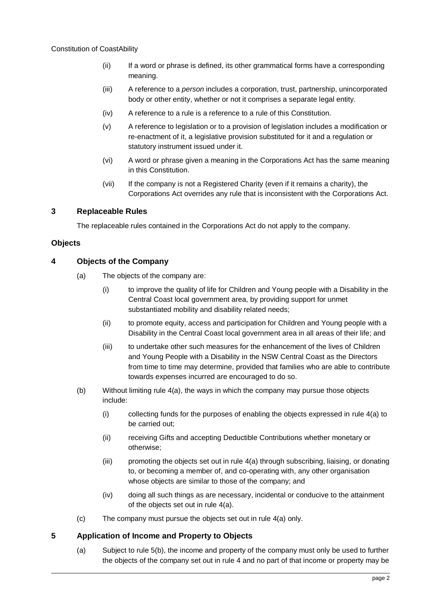- (ii) If a word or phrase is defined, its other grammatical forms have a corresponding meaning.
- (iii) A reference to a *person* includes a corporation, trust, partnership, unincorporated body or other entity, whether or not it comprises a separate legal entity.
- (iv) A reference to a rule is a reference to a rule of this Constitution.
- (v) A reference to legislation or to a provision of legislation includes a modification or re-enactment of it, a legislative provision substituted for it and a regulation or statutory instrument issued under it.
- (vi) A word or phrase given a meaning in the Corporations Act has the same meaning in this Constitution.
- (vii) If the company is not a Registered Charity (even if it remains a charity), the Corporations Act overrides any rule that is inconsistent with the Corporations Act.

# <span id="page-5-0"></span>**3 Replaceable Rules**

The replaceable rules contained in the Corporations Act do not apply to the company.

# <span id="page-5-1"></span>**Objects**

# <span id="page-5-4"></span><span id="page-5-2"></span>**4 Objects of the Company**

- (a) The objects of the company are:
	- (i) to improve the quality of life for Children and Young people with a Disability in the Central Coast local government area, by providing support for unmet substantiated mobility and disability related needs;
	- (ii) to promote equity, access and participation for Children and Young people with a Disability in the Central Coast local government area in all areas of their life; and
	- (iii) to undertake other such measures for the enhancement of the lives of Children and Young People with a Disability in the NSW Central Coast as the Directors from time to time may determine, provided that families who are able to contribute towards expenses incurred are encouraged to do so.
- (b) Without limiting rule [4\(a\),](#page-5-4) the ways in which the company may pursue those objects include:
	- (i) collecting funds for the purposes of enabling the objects expressed in rule [4\(a\)](#page-5-4) to be carried out;
	- (ii) receiving Gifts and accepting Deductible Contributions whether monetary or otherwise;
	- (iii) promoting the objects set out in rule [4\(a\)](#page-5-4) through subscribing, liaising, or donating to, or becoming a member of, and co-operating with, any other organisation whose objects are similar to those of the company; and
	- (iv) doing all such things as are necessary, incidental or conducive to the attainment of the objects set out in rule [4\(a\).](#page-5-4)
- (c) The company must pursue the objects set out in rule [4\(a\)](#page-5-4) only.

# <span id="page-5-5"></span><span id="page-5-3"></span>**5 Application of Income and Property to Objects**

(a) Subject to rule [5\(b\),](#page-6-5) the income and property of the company must only be used to further the objects of the company set out in rule [4](#page-5-2) and no part of that income or property may be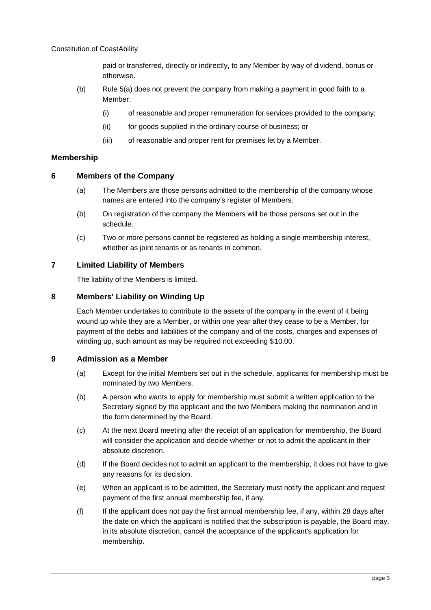paid or transferred, directly or indirectly, to any Member by way of dividend, bonus or otherwise.

- <span id="page-6-5"></span>(b) Rule [5\(a\)](#page-5-5) does not prevent the company from making a payment in good faith to a Member:
	- (i) of reasonable and proper remuneration for services provided to the company;
	- (ii) for goods supplied in the ordinary course of business; or
	- (iii) of reasonable and proper rent for premises let by a Member.

## <span id="page-6-0"></span>**Membership**

#### <span id="page-6-1"></span>**6 Members of the Company**

- (a) The Members are those persons admitted to the membership of the company whose names are entered into the company's register of Members.
- (b) On registration of the company the Members will be those persons set out in the schedule.
- (c) Two or more persons cannot be registered as holding a single membership interest, whether as joint tenants or as tenants in common.

## <span id="page-6-2"></span>**7 Limited Liability of Members**

The liability of the Members is limited.

## <span id="page-6-3"></span>**8 Members' Liability on Winding Up**

Each Member undertakes to contribute to the assets of the company in the event of it being wound up while they are a Member, or within one year after they cease to be a Member, for payment of the debts and liabilities of the company and of the costs, charges and expenses of winding up, such amount as may be required not exceeding \$10.00.

## <span id="page-6-4"></span>**9 Admission as a Member**

- (a) Except for the initial Members set out in the schedule, applicants for membership must be nominated by two Members.
- (b) A person who wants to apply for membership must submit a written application to the Secretary signed by the applicant and the two Members making the nomination and in the form determined by the Board.
- (c) At the next Board meeting after the receipt of an application for membership, the Board will consider the application and decide whether or not to admit the applicant in their absolute discretion.
- (d) If the Board decides not to admit an applicant to the membership, it does not have to give any reasons for its decision.
- (e) When an applicant is to be admitted, the Secretary must notify the applicant and request payment of the first annual membership fee, if any.
- (f) If the applicant does not pay the first annual membership fee, if any, within 28 days after the date on which the applicant is notified that the subscription is payable, the Board may, in its absolute discretion, cancel the acceptance of the applicant's application for membership.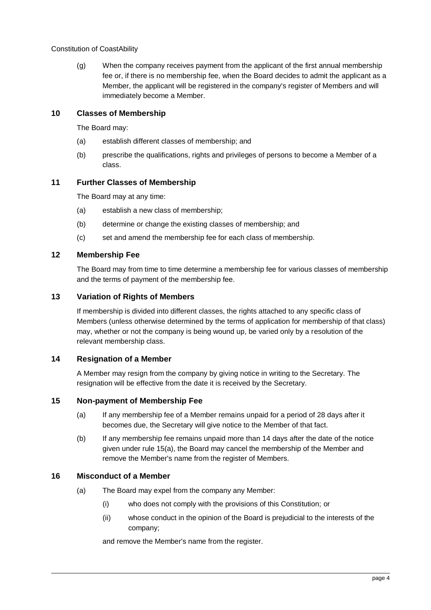(g) When the company receives payment from the applicant of the first annual membership fee or, if there is no membership fee, when the Board decides to admit the applicant as a Member, the applicant will be registered in the company's register of Members and will immediately become a Member.

## <span id="page-7-0"></span>**10 Classes of Membership**

The Board may:

- (a) establish different classes of membership; and
- (b) prescribe the qualifications, rights and privileges of persons to become a Member of a class.

## <span id="page-7-1"></span>**11 Further Classes of Membership**

The Board may at any time:

- (a) establish a new class of membership;
- (b) determine or change the existing classes of membership; and
- (c) set and amend the membership fee for each class of membership.

#### <span id="page-7-2"></span>**12 Membership Fee**

The Board may from time to time determine a membership fee for various classes of membership and the terms of payment of the membership fee.

## <span id="page-7-3"></span>**13 Variation of Rights of Members**

If membership is divided into different classes, the rights attached to any specific class of Members (unless otherwise determined by the terms of application for membership of that class) may, whether or not the company is being wound up, be varied only by a resolution of the relevant membership class.

## <span id="page-7-4"></span>**14 Resignation of a Member**

A Member may resign from the company by giving notice in writing to the Secretary. The resignation will be effective from the date it is received by the Secretary.

## <span id="page-7-7"></span><span id="page-7-5"></span>**15 Non-payment of Membership Fee**

- (a) If any membership fee of a Member remains unpaid for a period of 28 days after it becomes due, the Secretary will give notice to the Member of that fact.
- (b) If any membership fee remains unpaid more than 14 days after the date of the notice given under rule [15\(a\),](#page-7-7) the Board may cancel the membership of the Member and remove the Member's name from the register of Members.

## <span id="page-7-6"></span>**16 Misconduct of a Member**

- (a) The Board may expel from the company any Member:
	- (i) who does not comply with the provisions of this Constitution; or
	- (ii) whose conduct in the opinion of the Board is prejudicial to the interests of the company;

and remove the Member's name from the register.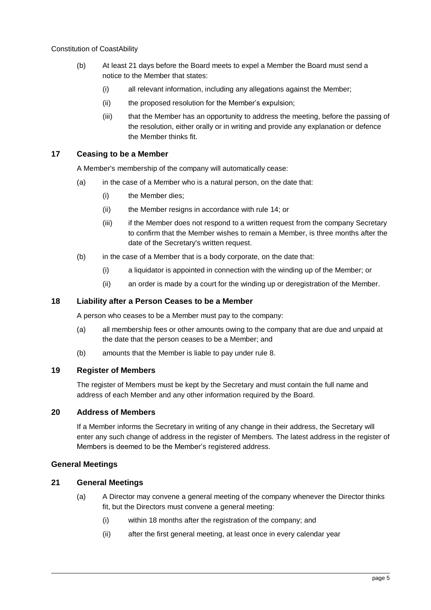- (b) At least 21 days before the Board meets to expel a Member the Board must send a notice to the Member that states:
	- (i) all relevant information, including any allegations against the Member;
	- (ii) the proposed resolution for the Member's expulsion;
	- (iii) that the Member has an opportunity to address the meeting, before the passing of the resolution, either orally or in writing and provide any explanation or defence the Member thinks fit.

## <span id="page-8-0"></span>**17 Ceasing to be a Member**

A Member's membership of the company will automatically cease:

- (a) in the case of a Member who is a natural person, on the date that:
	- (i) the Member dies;
	- (ii) the Member resigns in accordance with rule [14;](#page-7-4) or
	- (iii) if the Member does not respond to a written request from the company Secretary to confirm that the Member wishes to remain a Member, is three months after the date of the Secretary's written request.
- (b) in the case of a Member that is a body corporate, on the date that:
	- (i) a liquidator is appointed in connection with the winding up of the Member; or
	- (ii) an order is made by a court for the winding up or deregistration of the Member.

#### <span id="page-8-1"></span>**18 Liability after a Person Ceases to be a Member**

A person who ceases to be a Member must pay to the company:

- (a) all membership fees or other amounts owing to the company that are due and unpaid at the date that the person ceases to be a Member; and
- (b) amounts that the Member is liable to pay under rule [8.](#page-6-3)

# <span id="page-8-2"></span>**19 Register of Members**

The register of Members must be kept by the Secretary and must contain the full name and address of each Member and any other information required by the Board.

## <span id="page-8-3"></span>**20 Address of Members**

If a Member informs the Secretary in writing of any change in their address, the Secretary will enter any such change of address in the register of Members. The latest address in the register of Members is deemed to be the Member's registered address.

## <span id="page-8-4"></span>**General Meetings**

## <span id="page-8-5"></span>**21 General Meetings**

- (a) A Director may convene a general meeting of the company whenever the Director thinks fit, but the Directors must convene a general meeting:
	- (i) within 18 months after the registration of the company; and
	- (ii) after the first general meeting, at least once in every calendar year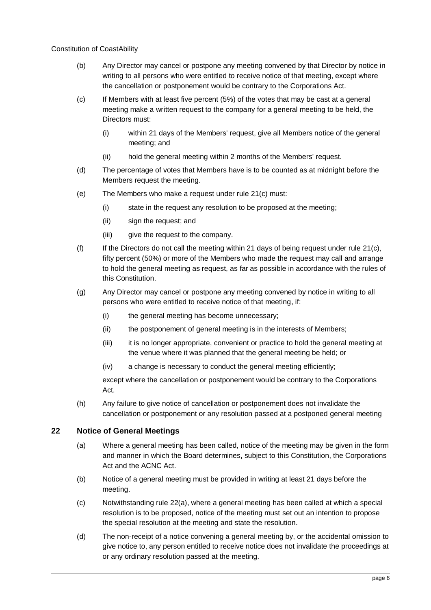- (b) Any Director may cancel or postpone any meeting convened by that Director by notice in writing to all persons who were entitled to receive notice of that meeting, except where the cancellation or postponement would be contrary to the Corporations Act.
- <span id="page-9-1"></span>(c) If Members with at least five percent (5%) of the votes that may be cast at a general meeting make a written request to the company for a general meeting to be held, the Directors must:
	- (i) within 21 days of the Members' request, give all Members notice of the general meeting; and
	- (ii) hold the general meeting within 2 months of the Members' request.
- (d) The percentage of votes that Members have is to be counted as at midnight before the Members request the meeting.
- (e) The Members who make a request under rule [21](#page-8-5)[\(c\)](#page-9-1) must:
	- (i) state in the request any resolution to be proposed at the meeting;
	- (ii) sign the request; and
	- (iii) give the request to the company.
- (f) If the Directors do not call the meeting within 21 days of being request under rule [21](#page-8-5)[\(c\),](#page-9-1) fifty percent (50%) or more of the Members who made the request may call and arrange to hold the general meeting as request, as far as possible in accordance with the rules of this Constitution.
- (g) Any Director may cancel or postpone any meeting convened by notice in writing to all persons who were entitled to receive notice of that meeting, if:
	- (i) the general meeting has become unnecessary;
	- (ii) the postponement of general meeting is in the interests of Members;
	- (iii) it is no longer appropriate, convenient or practice to hold the general meeting at the venue where it was planned that the general meeting be held; or
	- (iv) a change is necessary to conduct the general meeting efficiently;

except where the cancellation or postponement would be contrary to the Corporations Act.

(h) Any failure to give notice of cancellation or postponement does not invalidate the cancellation or postponement or any resolution passed at a postponed general meeting

## <span id="page-9-2"></span><span id="page-9-0"></span>**22 Notice of General Meetings**

- (a) Where a general meeting has been called, notice of the meeting may be given in the form and manner in which the Board determines, subject to this Constitution, the Corporations Act and the ACNC Act.
- (b) Notice of a general meeting must be provided in writing at least 21 days before the meeting.
- (c) Notwithstanding rule [22](#page-9-0)[\(a\),](#page-9-2) where a general meeting has been called at which a special resolution is to be proposed, notice of the meeting must set out an intention to propose the special resolution at the meeting and state the resolution.
- (d) The non-receipt of a notice convening a general meeting by, or the accidental omission to give notice to, any person entitled to receive notice does not invalidate the proceedings at or any ordinary resolution passed at the meeting.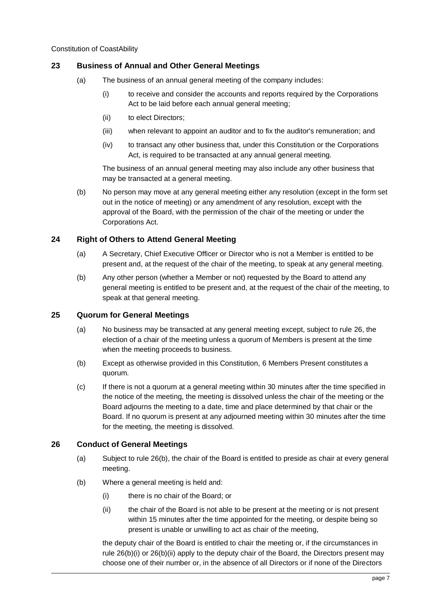# <span id="page-10-0"></span>**23 Business of Annual and Other General Meetings**

- (a) The business of an annual general meeting of the company includes:
	- (i) to receive and consider the accounts and reports required by the Corporations Act to be laid before each annual general meeting;
	- (ii) to elect Directors;
	- (iii) when relevant to appoint an auditor and to fix the auditor's remuneration; and
	- (iv) to transact any other business that, under this Constitution or the Corporations Act, is required to be transacted at any annual general meeting.

The business of an annual general meeting may also include any other business that may be transacted at a general meeting.

(b) No person may move at any general meeting either any resolution (except in the form set out in the notice of meeting) or any amendment of any resolution, except with the approval of the Board, with the permission of the chair of the meeting or under the Corporations Act.

# <span id="page-10-1"></span>**24 Right of Others to Attend General Meeting**

- (a) A Secretary, Chief Executive Officer or Director who is not a Member is entitled to be present and, at the request of the chair of the meeting, to speak at any general meeting.
- (b) Any other person (whether a Member or not) requested by the Board to attend any general meeting is entitled to be present and, at the request of the chair of the meeting, to speak at that general meeting.

## <span id="page-10-2"></span>**25 Quorum for General Meetings**

- (a) No business may be transacted at any general meeting except, subject to rule [26,](#page-10-3) the election of a chair of the meeting unless a quorum of Members is present at the time when the meeting proceeds to business.
- (b) Except as otherwise provided in this Constitution, 6 Members Present constitutes a quorum.
- (c) If there is not a quorum at a general meeting within 30 minutes after the time specified in the notice of the meeting, the meeting is dissolved unless the chair of the meeting or the Board adjourns the meeting to a date, time and place determined by that chair or the Board. If no quorum is present at any adjourned meeting within 30 minutes after the time for the meeting, the meeting is dissolved.

## <span id="page-10-3"></span>**26 Conduct of General Meetings**

- (a) Subject to rule [26\(b\),](#page-10-4) the chair of the Board is entitled to preside as chair at every general meeting.
- <span id="page-10-6"></span><span id="page-10-5"></span><span id="page-10-4"></span>(b) Where a general meeting is held and:
	- (i) there is no chair of the Board; or
	- (ii) the chair of the Board is not able to be present at the meeting or is not present within 15 minutes after the time appointed for the meeting, or despite being so present is unable or unwilling to act as chair of the meeting,

the deputy chair of the Board is entitled to chair the meeting or, if the circumstances in rule [26\(b\)\(i\)](#page-10-5) or [26\(b\)\(ii\)](#page-10-6) apply to the deputy chair of the Board, the Directors present may choose one of their number or, in the absence of all Directors or if none of the Directors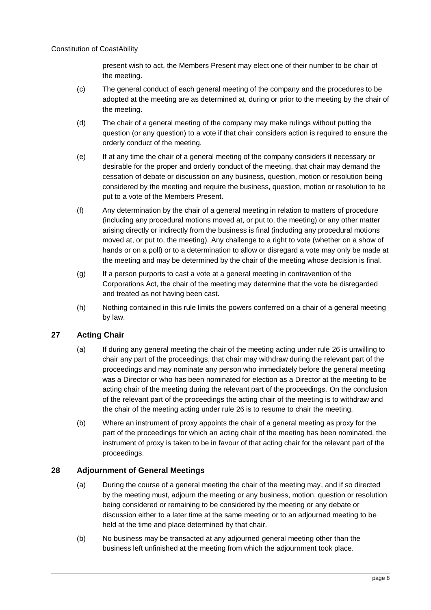present wish to act, the Members Present may elect one of their number to be chair of the meeting.

- (c) The general conduct of each general meeting of the company and the procedures to be adopted at the meeting are as determined at, during or prior to the meeting by the chair of the meeting.
- (d) The chair of a general meeting of the company may make rulings without putting the question (or any question) to a vote if that chair considers action is required to ensure the orderly conduct of the meeting.
- (e) If at any time the chair of a general meeting of the company considers it necessary or desirable for the proper and orderly conduct of the meeting, that chair may demand the cessation of debate or discussion on any business, question, motion or resolution being considered by the meeting and require the business, question, motion or resolution to be put to a vote of the Members Present.
- (f) Any determination by the chair of a general meeting in relation to matters of procedure (including any procedural motions moved at, or put to, the meeting) or any other matter arising directly or indirectly from the business is final (including any procedural motions moved at, or put to, the meeting). Any challenge to a right to vote (whether on a show of hands or on a poll) or to a determination to allow or disregard a vote may only be made at the meeting and may be determined by the chair of the meeting whose decision is final.
- (g) If a person purports to cast a vote at a general meeting in contravention of the Corporations Act, the chair of the meeting may determine that the vote be disregarded and treated as not having been cast.
- (h) Nothing contained in this rule limits the powers conferred on a chair of a general meeting by law.

# <span id="page-11-0"></span>**27 Acting Chair**

- (a) If during any general meeting the chair of the meeting acting under rule [26](#page-10-3) is unwilling to chair any part of the proceedings, that chair may withdraw during the relevant part of the proceedings and may nominate any person who immediately before the general meeting was a Director or who has been nominated for election as a Director at the meeting to be acting chair of the meeting during the relevant part of the proceedings. On the conclusion of the relevant part of the proceedings the acting chair of the meeting is to withdraw and the chair of the meeting acting under rule [26](#page-10-3) is to resume to chair the meeting.
- (b) Where an instrument of proxy appoints the chair of a general meeting as proxy for the part of the proceedings for which an acting chair of the meeting has been nominated, the instrument of proxy is taken to be in favour of that acting chair for the relevant part of the proceedings.

# <span id="page-11-1"></span>**28 Adjournment of General Meetings**

- (a) During the course of a general meeting the chair of the meeting may, and if so directed by the meeting must, adjourn the meeting or any business, motion, question or resolution being considered or remaining to be considered by the meeting or any debate or discussion either to a later time at the same meeting or to an adjourned meeting to be held at the time and place determined by that chair.
- (b) No business may be transacted at any adjourned general meeting other than the business left unfinished at the meeting from which the adjournment took place.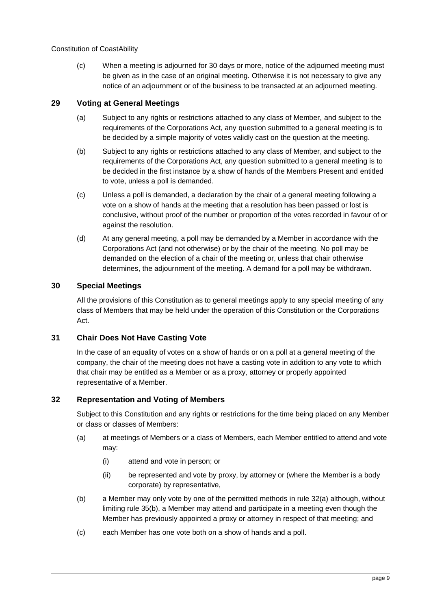(c) When a meeting is adjourned for 30 days or more, notice of the adjourned meeting must be given as in the case of an original meeting. Otherwise it is not necessary to give any notice of an adjournment or of the business to be transacted at an adjourned meeting.

# <span id="page-12-0"></span>**29 Voting at General Meetings**

- (a) Subject to any rights or restrictions attached to any class of Member, and subject to the requirements of the Corporations Act, any question submitted to a general meeting is to be decided by a simple majority of votes validly cast on the question at the meeting.
- (b) Subject to any rights or restrictions attached to any class of Member, and subject to the requirements of the Corporations Act, any question submitted to a general meeting is to be decided in the first instance by a show of hands of the Members Present and entitled to vote, unless a poll is demanded.
- (c) Unless a poll is demanded, a declaration by the chair of a general meeting following a vote on a show of hands at the meeting that a resolution has been passed or lost is conclusive, without proof of the number or proportion of the votes recorded in favour of or against the resolution.
- (d) At any general meeting, a poll may be demanded by a Member in accordance with the Corporations Act (and not otherwise) or by the chair of the meeting. No poll may be demanded on the election of a chair of the meeting or, unless that chair otherwise determines, the adjournment of the meeting. A demand for a poll may be withdrawn.

## <span id="page-12-1"></span>**30 Special Meetings**

All the provisions of this Constitution as to general meetings apply to any special meeting of any class of Members that may be held under the operation of this Constitution or the Corporations Act.

## <span id="page-12-2"></span>**31 Chair Does Not Have Casting Vote**

In the case of an equality of votes on a show of hands or on a poll at a general meeting of the company, the chair of the meeting does not have a casting vote in addition to any vote to which that chair may be entitled as a Member or as a proxy, attorney or properly appointed representative of a Member.

## <span id="page-12-3"></span>**32 Representation and Voting of Members**

Subject to this Constitution and any rights or restrictions for the time being placed on any Member or class or classes of Members:

- <span id="page-12-4"></span>(a) at meetings of Members or a class of Members, each Member entitled to attend and vote may:
	- (i) attend and vote in person; or
	- (ii) be represented and vote by proxy, by attorney or (where the Member is a body corporate) by representative,
- (b) a Member may only vote by one of the permitted methods in rule [32\(a\)](#page-12-4) although, without limiting rule [35\(b\),](#page-14-3) a Member may attend and participate in a meeting even though the Member has previously appointed a proxy or attorney in respect of that meeting; and
- (c) each Member has one vote both on a show of hands and a poll.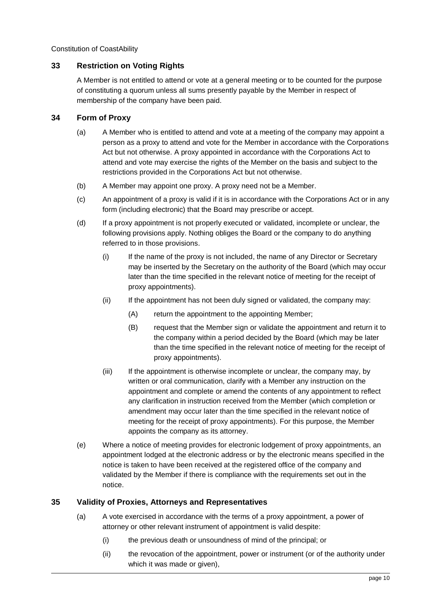# <span id="page-13-0"></span>**33 Restriction on Voting Rights**

A Member is not entitled to attend or vote at a general meeting or to be counted for the purpose of constituting a quorum unless all sums presently payable by the Member in respect of membership of the company have been paid.

# <span id="page-13-1"></span>**34 Form of Proxy**

- (a) A Member who is entitled to attend and vote at a meeting of the company may appoint a person as a proxy to attend and vote for the Member in accordance with the Corporations Act but not otherwise. A proxy appointed in accordance with the Corporations Act to attend and vote may exercise the rights of the Member on the basis and subject to the restrictions provided in the Corporations Act but not otherwise.
- (b) A Member may appoint one proxy. A proxy need not be a Member.
- (c) An appointment of a proxy is valid if it is in accordance with the Corporations Act or in any form (including electronic) that the Board may prescribe or accept.
- (d) If a proxy appointment is not properly executed or validated, incomplete or unclear, the following provisions apply. Nothing obliges the Board or the company to do anything referred to in those provisions.
	- (i) If the name of the proxy is not included, the name of any Director or Secretary may be inserted by the Secretary on the authority of the Board (which may occur later than the time specified in the relevant notice of meeting for the receipt of proxy appointments).
	- (ii) If the appointment has not been duly signed or validated, the company may:
		- (A) return the appointment to the appointing Member;
		- (B) request that the Member sign or validate the appointment and return it to the company within a period decided by the Board (which may be later than the time specified in the relevant notice of meeting for the receipt of proxy appointments).
	- (iii) If the appointment is otherwise incomplete or unclear, the company may, by written or oral communication, clarify with a Member any instruction on the appointment and complete or amend the contents of any appointment to reflect any clarification in instruction received from the Member (which completion or amendment may occur later than the time specified in the relevant notice of meeting for the receipt of proxy appointments). For this purpose, the Member appoints the company as its attorney.
- (e) Where a notice of meeting provides for electronic lodgement of proxy appointments, an appointment lodged at the electronic address or by the electronic means specified in the notice is taken to have been received at the registered office of the company and validated by the Member if there is compliance with the requirements set out in the notice.

## <span id="page-13-2"></span>**35 Validity of Proxies, Attorneys and Representatives**

- (a) A vote exercised in accordance with the terms of a proxy appointment, a power of attorney or other relevant instrument of appointment is valid despite:
	- (i) the previous death or unsoundness of mind of the principal; or
	- (ii) the revocation of the appointment, power or instrument (or of the authority under which it was made or given),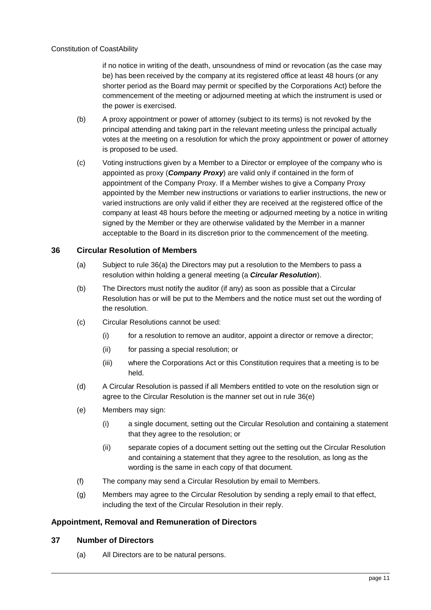if no notice in writing of the death, unsoundness of mind or revocation (as the case may be) has been received by the company at its registered office at least 48 hours (or any shorter period as the Board may permit or specified by the Corporations Act) before the commencement of the meeting or adjourned meeting at which the instrument is used or the power is exercised.

- <span id="page-14-3"></span>(b) A proxy appointment or power of attorney (subject to its terms) is not revoked by the principal attending and taking part in the relevant meeting unless the principal actually votes at the meeting on a resolution for which the proxy appointment or power of attorney is proposed to be used.
- (c) Voting instructions given by a Member to a Director or employee of the company who is appointed as proxy (*Company Proxy*) are valid only if contained in the form of appointment of the Company Proxy. If a Member wishes to give a Company Proxy appointed by the Member new instructions or variations to earlier instructions, the new or varied instructions are only valid if either they are received at the registered office of the company at least 48 hours before the meeting or adjourned meeting by a notice in writing signed by the Member or they are otherwise validated by the Member in a manner acceptable to the Board in its discretion prior to the commencement of the meeting.

# <span id="page-14-0"></span>**36 Circular Resolution of Members**

- <span id="page-14-4"></span>(a) Subject to rule [36](#page-14-0)[\(a\)](#page-14-4) the Directors may put a resolution to the Members to pass a resolution within holding a general meeting (a *Circular Resolution*).
- (b) The Directors must notify the auditor (if any) as soon as possible that a Circular Resolution has or will be put to the Members and the notice must set out the wording of the resolution.
- (c) Circular Resolutions cannot be used:
	- (i) for a resolution to remove an auditor, appoint a director or remove a director;
	- (ii) for passing a special resolution; or
	- (iii) where the Corporations Act or this Constitution requires that a meeting is to be held.
- (d) A Circular Resolution is passed if all Members entitled to vote on the resolution sign or agree to the Circular Resolution is the manner set out in rule [36](#page-14-0)[\(e\)](#page-14-5)
- <span id="page-14-5"></span>(e) Members may sign:
	- (i) a single document, setting out the Circular Resolution and containing a statement that they agree to the resolution; or
	- (ii) separate copies of a document setting out the setting out the Circular Resolution and containing a statement that they agree to the resolution, as long as the wording is the same in each copy of that document.
- (f) The company may send a Circular Resolution by email to Members.
- (g) Members may agree to the Circular Resolution by sending a reply email to that effect, including the text of the Circular Resolution in their reply.

## <span id="page-14-1"></span>**Appointment, Removal and Remuneration of Directors**

## <span id="page-14-2"></span>**37 Number of Directors**

(a) All Directors are to be natural persons.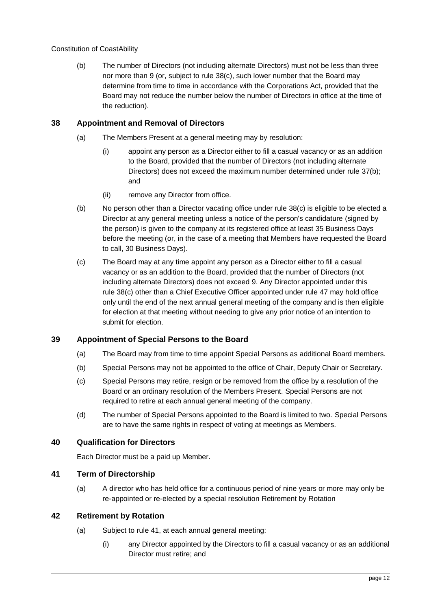<span id="page-15-6"></span>(b) The number of Directors (not including alternate Directors) must not be less than three nor more than 9 (or, subject to rule [38\(c\),](#page-15-5) such lower number that the Board may determine from time to time in accordance with the Corporations Act, provided that the Board may not reduce the number below the number of Directors in office at the time of the reduction).

# <span id="page-15-0"></span>**38 Appointment and Removal of Directors**

- (a) The Members Present at a general meeting may by resolution:
	- (i) appoint any person as a Director either to fill a casual vacancy or as an addition to the Board, provided that the number of Directors (not including alternate Directors) does not exceed the maximum number determined under rule [37\(b\);](#page-15-6) and
	- (ii) remove any Director from office.
- <span id="page-15-8"></span>(b) No person other than a Director vacating office under rule [38\(c\)](#page-15-5) is eligible to be elected a Director at any general meeting unless a notice of the person's candidature (signed by the person) is given to the company at its registered office at least 35 Business Days before the meeting (or, in the case of a meeting that Members have requested the Board to call, 30 Business Days).
- <span id="page-15-5"></span>(c) The Board may at any time appoint any person as a Director either to fill a casual vacancy or as an addition to the Board, provided that the number of Directors (not including alternate Directors) does not exceed 9. Any Director appointed under this rule [38\(c\)](#page-15-5) other than a Chief Executive Officer appointed under rule [47](#page-18-1) may hold office only until the end of the next annual general meeting of the company and is then eligible for election at that meeting without needing to give any prior notice of an intention to submit for election.

## <span id="page-15-1"></span>**39 Appointment of Special Persons to the Board**

- (a) The Board may from time to time appoint Special Persons as additional Board members.
- (b) Special Persons may not be appointed to the office of Chair, Deputy Chair or Secretary.
- (c) Special Persons may retire, resign or be removed from the office by a resolution of the Board or an ordinary resolution of the Members Present. Special Persons are not required to retire at each annual general meeting of the company.
- (d) The number of Special Persons appointed to the Board is limited to two. Special Persons are to have the same rights in respect of voting at meetings as Members.

## <span id="page-15-2"></span>**40 Qualification for Directors**

Each Director must be a paid up Member.

# <span id="page-15-3"></span>**41 Term of Directorship**

<span id="page-15-7"></span>(a) A director who has held office for a continuous period of nine years or more may only be re-appointed or re-elected by a special resolution Retirement by Rotation

#### <span id="page-15-4"></span>**42 Retirement by Rotation**

- (a) Subject to rule [41,](#page-15-3) at each annual general meeting:
	- (i) any Director appointed by the Directors to fill a casual vacancy or as an additional Director must retire; and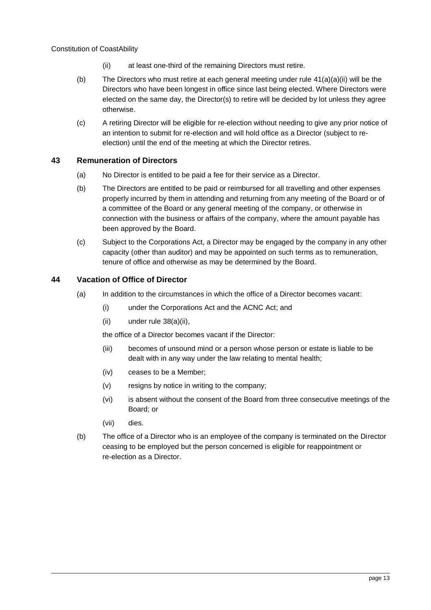- (ii) at least one-third of the remaining Directors must retire.
- <span id="page-16-2"></span>(b) The Directors who must retire at each general meeting under rule  $41(a)(a)(ii)$  $41(a)(a)(ii)$  will be the Directors who have been longest in office since last being elected. Where Directors were elected on the same day, the Director(s) to retire will be decided by lot unless they agree otherwise.
- (c) A retiring Director will be eligible for re-election without needing to give any prior notice of an intention to submit for re-election and will hold office as a Director (subject to reelection) until the end of the meeting at which the Director retires.

# <span id="page-16-3"></span><span id="page-16-0"></span>**43 Remuneration of Directors**

- (a) No Director is entitled to be paid a fee for their service as a Director.
- (b) The Directors are entitled to be paid or reimbursed for all travelling and other expenses properly incurred by them in attending and returning from any meeting of the Board or of a committee of the Board or any general meeting of the company, or otherwise in connection with the business or affairs of the company, where the amount payable has been approved by the Board.
- (c) Subject to the Corporations Act, a Director may be engaged by the company in any other capacity (other than auditor) and may be appointed on such terms as to remuneration, tenure of office and otherwise as may be determined by the Board.

## <span id="page-16-1"></span>**44 Vacation of Office of Director**

- (a) In addition to the circumstances in which the office of a Director becomes vacant:
	- (i) under the Corporations Act and the ACNC Act; and
	- (ii) under rule [38\(a\)\(ii\),](#page-15-8)

the office of a Director becomes vacant if the Director:

- (iii) becomes of unsound mind or a person whose person or estate is liable to be dealt with in any way under the law relating to mental health;
- (iv) ceases to be a Member;
- (v) resigns by notice in writing to the company;
- (vi) is absent without the consent of the Board from three consecutive meetings of the Board; or
- (vii) dies.
- (b) The office of a Director who is an employee of the company is terminated on the Director ceasing to be employed but the person concerned is eligible for reappointment or re-election as a Director.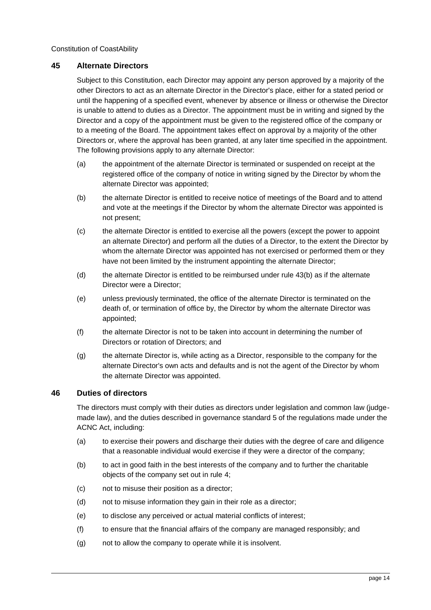#### <span id="page-17-0"></span>**45 Alternate Directors**

Subject to this Constitution, each Director may appoint any person approved by a majority of the other Directors to act as an alternate Director in the Director's place, either for a stated period or until the happening of a specified event, whenever by absence or illness or otherwise the Director is unable to attend to duties as a Director. The appointment must be in writing and signed by the Director and a copy of the appointment must be given to the registered office of the company or to a meeting of the Board. The appointment takes effect on approval by a majority of the other Directors or, where the approval has been granted, at any later time specified in the appointment. The following provisions apply to any alternate Director:

- (a) the appointment of the alternate Director is terminated or suspended on receipt at the registered office of the company of notice in writing signed by the Director by whom the alternate Director was appointed;
- (b) the alternate Director is entitled to receive notice of meetings of the Board and to attend and vote at the meetings if the Director by whom the alternate Director was appointed is not present;
- (c) the alternate Director is entitled to exercise all the powers (except the power to appoint an alternate Director) and perform all the duties of a Director, to the extent the Director by whom the alternate Director was appointed has not exercised or performed them or they have not been limited by the instrument appointing the alternate Director;
- (d) the alternate Director is entitled to be reimbursed under rule [43\(b\)](#page-16-3) as if the alternate Director were a Director;
- (e) unless previously terminated, the office of the alternate Director is terminated on the death of, or termination of office by, the Director by whom the alternate Director was appointed;
- (f) the alternate Director is not to be taken into account in determining the number of Directors or rotation of Directors; and
- (g) the alternate Director is, while acting as a Director, responsible to the company for the alternate Director's own acts and defaults and is not the agent of the Director by whom the alternate Director was appointed.

## <span id="page-17-1"></span>**46 Duties of directors**

The directors must comply with their duties as directors under legislation and common law (judgemade law), and the duties described in governance standard 5 of the regulations made under the ACNC Act, including:

- (a) to exercise their powers and discharge their duties with the degree of care and diligence that a reasonable individual would exercise if they were a director of the company;
- (b) to act in good faith in the best interests of the company and to further the charitable objects of the company set out in rule [4;](#page-5-2)
- (c) not to misuse their position as a director;
- (d) not to misuse information they gain in their role as a director;
- (e) to disclose any perceived or actual material conflicts of interest;
- (f) to ensure that the financial affairs of the company are managed responsibly; and
- (g) not to allow the company to operate while it is insolvent.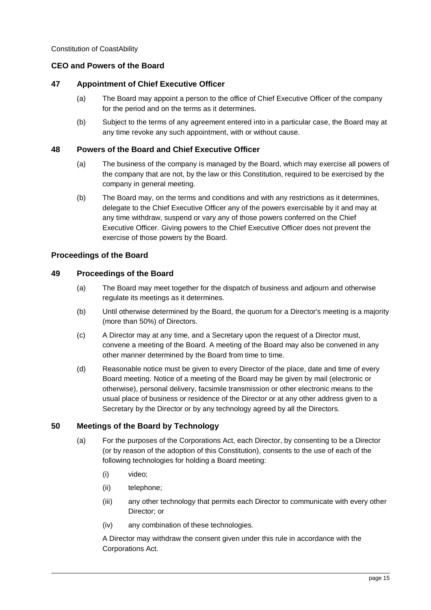# <span id="page-18-0"></span>**CEO and Powers of the Board**

#### <span id="page-18-1"></span>**47 Appointment of Chief Executive Officer**

- (a) The Board may appoint a person to the office of Chief Executive Officer of the company for the period and on the terms as it determines.
- (b) Subject to the terms of any agreement entered into in a particular case, the Board may at any time revoke any such appointment, with or without cause.

#### <span id="page-18-2"></span>**48 Powers of the Board and Chief Executive Officer**

- (a) The business of the company is managed by the Board, which may exercise all powers of the company that are not, by the law or this Constitution, required to be exercised by the company in general meeting.
- (b) The Board may, on the terms and conditions and with any restrictions as it determines, delegate to the Chief Executive Officer any of the powers exercisable by it and may at any time withdraw, suspend or vary any of those powers conferred on the Chief Executive Officer. Giving powers to the Chief Executive Officer does not prevent the exercise of those powers by the Board.

#### <span id="page-18-3"></span>**Proceedings of the Board**

#### <span id="page-18-4"></span>**49 Proceedings of the Board**

- (a) The Board may meet together for the dispatch of business and adjourn and otherwise regulate its meetings as it determines.
- (b) Until otherwise determined by the Board, the quorum for a Director's meeting is a majority (more than 50%) of Directors.
- (c) A Director may at any time, and a Secretary upon the request of a Director must, convene a meeting of the Board. A meeting of the Board may also be convened in any other manner determined by the Board from time to time.
- (d) Reasonable notice must be given to every Director of the place, date and time of every Board meeting. Notice of a meeting of the Board may be given by mail (electronic or otherwise), personal delivery, facsimile transmission or other electronic means to the usual place of business or residence of the Director or at any other address given to a Secretary by the Director or by any technology agreed by all the Directors.

#### <span id="page-18-5"></span>**50 Meetings of the Board by Technology**

- (a) For the purposes of the Corporations Act, each Director, by consenting to be a Director (or by reason of the adoption of this Constitution), consents to the use of each of the following technologies for holding a Board meeting:
	- (i) video;
	- (ii) telephone;
	- (iii) any other technology that permits each Director to communicate with every other Director; or
	- (iv) any combination of these technologies.

A Director may withdraw the consent given under this rule in accordance with the Corporations Act.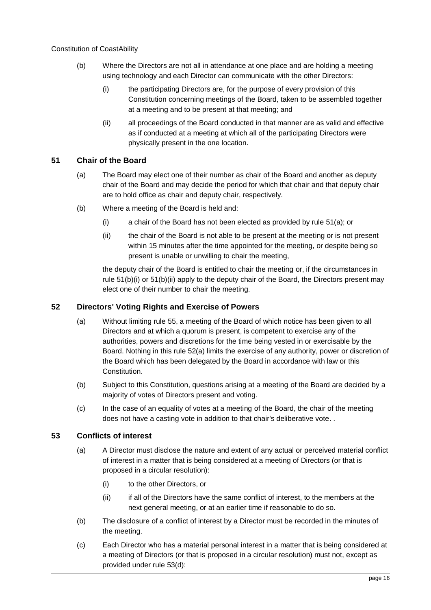- (b) Where the Directors are not all in attendance at one place and are holding a meeting using technology and each Director can communicate with the other Directors:
	- (i) the participating Directors are, for the purpose of every provision of this Constitution concerning meetings of the Board, taken to be assembled together at a meeting and to be present at that meeting; and
	- (ii) all proceedings of the Board conducted in that manner are as valid and effective as if conducted at a meeting at which all of the participating Directors were physically present in the one location.

# <span id="page-19-3"></span><span id="page-19-0"></span>**51 Chair of the Board**

- (a) The Board may elect one of their number as chair of the Board and another as deputy chair of the Board and may decide the period for which that chair and that deputy chair are to hold office as chair and deputy chair, respectively.
- <span id="page-19-5"></span><span id="page-19-4"></span>(b) Where a meeting of the Board is held and:
	- (i) a chair of the Board has not been elected as provided by rule [51\(a\);](#page-19-3) or
	- (ii) the chair of the Board is not able to be present at the meeting or is not present within 15 minutes after the time appointed for the meeting, or despite being so present is unable or unwilling to chair the meeting,

the deputy chair of the Board is entitled to chair the meeting or, if the circumstances in rule [51\(b\)\(i\)](#page-19-4) or [51\(b\)\(ii\)](#page-19-5) apply to the deputy chair of the Board, the Directors present may elect one of their number to chair the meeting.

# <span id="page-19-6"></span><span id="page-19-1"></span>**52 Directors' Voting Rights and Exercise of Powers**

- (a) Without limiting rule [55,](#page-20-1) a meeting of the Board of which notice has been given to all Directors and at which a quorum is present, is competent to exercise any of the authorities, powers and discretions for the time being vested in or exercisable by the Board. Nothing in this rule [52\(a\)](#page-19-6) limits the exercise of any authority, power or discretion of the Board which has been delegated by the Board in accordance with law or this Constitution.
- (b) Subject to this Constitution, questions arising at a meeting of the Board are decided by a majority of votes of Directors present and voting.
- (c) In the case of an equality of votes at a meeting of the Board, the chair of the meeting does not have a casting vote in addition to that chair's deliberative vote. .

## <span id="page-19-2"></span>**53 Conflicts of interest**

- (a) A Director must disclose the nature and extent of any actual or perceived material conflict of interest in a matter that is being considered at a meeting of Directors (or that is proposed in a circular resolution):
	- (i) to the other Directors, or
	- (ii) if all of the Directors have the same conflict of interest, to the members at the next general meeting, or at an earlier time if reasonable to do so.
- (b) The disclosure of a conflict of interest by a Director must be recorded in the minutes of the meeting.
- (c) Each Director who has a material personal interest in a matter that is being considered at a meeting of Directors (or that is proposed in a circular resolution) must not, except as provided under rule [53](#page-19-2)[\(d\):](#page-20-2)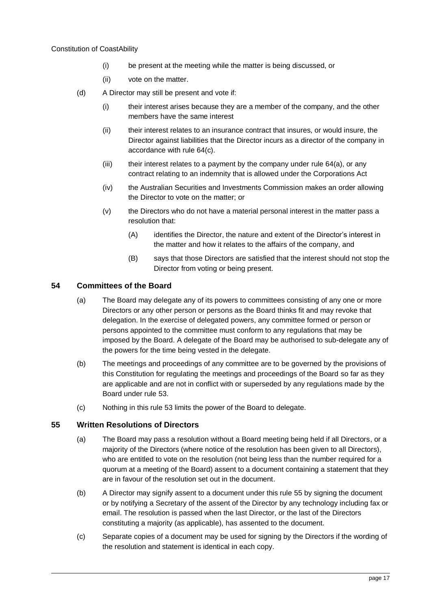- (i) be present at the meeting while the matter is being discussed, or
- (ii) vote on the matter.
- <span id="page-20-2"></span>(d) A Director may still be present and vote if:
	- (i) their interest arises because they are a member of the company, and the other members have the same interest
	- (ii) their interest relates to an insurance contract that insures, or would insure, the Director against liabilities that the Director incurs as a director of the company in accordance with rul[e 64\(c\).](#page-24-2)
	- $(iii)$  their interest relates to a payment by the company under rule  $64(a)$ , or any contract relating to an indemnity that is allowed under the Corporations Act
	- (iv) the Australian Securities and Investments Commission makes an order allowing the Director to vote on the matter; or
	- (v) the Directors who do not have a material personal interest in the matter pass a resolution that:
		- (A) identifies the Director, the nature and extent of the Director's interest in the matter and how it relates to the affairs of the company, and
		- (B) says that those Directors are satisfied that the interest should not stop the Director from voting or being present.

## <span id="page-20-0"></span>**54 Committees of the Board**

- (a) The Board may delegate any of its powers to committees consisting of any one or more Directors or any other person or persons as the Board thinks fit and may revoke that delegation. In the exercise of delegated powers, any committee formed or person or persons appointed to the committee must conform to any regulations that may be imposed by the Board. A delegate of the Board may be authorised to sub-delegate any of the powers for the time being vested in the delegate.
- (b) The meetings and proceedings of any committee are to be governed by the provisions of this Constitution for regulating the meetings and proceedings of the Board so far as they are applicable and are not in conflict with or superseded by any regulations made by the Board under rule [53.](#page-19-2)
- (c) Nothing in this rule [53](#page-19-2) limits the power of the Board to delegate.

#### <span id="page-20-1"></span>**55 Written Resolutions of Directors**

- (a) The Board may pass a resolution without a Board meeting being held if all Directors, or a majority of the Directors (where notice of the resolution has been given to all Directors), who are entitled to vote on the resolution (not being less than the number required for a quorum at a meeting of the Board) assent to a document containing a statement that they are in favour of the resolution set out in the document.
- (b) A Director may signify assent to a document under this rule [55](#page-20-1) by signing the document or by notifying a Secretary of the assent of the Director by any technology including fax or email. The resolution is passed when the last Director, or the last of the Directors constituting a majority (as applicable), has assented to the document.
- (c) Separate copies of a document may be used for signing by the Directors if the wording of the resolution and statement is identical in each copy.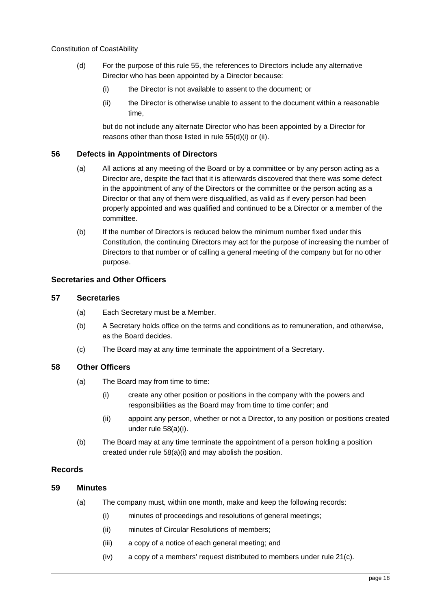- <span id="page-21-8"></span><span id="page-21-7"></span><span id="page-21-6"></span>(d) For the purpose of this rule [55,](#page-20-1) the references to Directors include any alternative Director who has been appointed by a Director because:
	- (i) the Director is not available to assent to the document; or
	- (ii) the Director is otherwise unable to assent to the document within a reasonable time,

but do not include any alternate Director who has been appointed by a Director for reasons other than those listed in rule [55](#page-20-1)[\(d\)](#page-21-6)[\(i\)](#page-21-7) or [\(ii\).](#page-21-8)

#### <span id="page-21-0"></span>**56 Defects in Appointments of Directors**

- (a) All actions at any meeting of the Board or by a committee or by any person acting as a Director are, despite the fact that it is afterwards discovered that there was some defect in the appointment of any of the Directors or the committee or the person acting as a Director or that any of them were disqualified, as valid as if every person had been properly appointed and was qualified and continued to be a Director or a member of the committee.
- (b) If the number of Directors is reduced below the minimum number fixed under this Constitution, the continuing Directors may act for the purpose of increasing the number of Directors to that number or of calling a general meeting of the company but for no other purpose.

## <span id="page-21-1"></span>**Secretaries and Other Officers**

#### <span id="page-21-2"></span>**57 Secretaries**

- (a) Each Secretary must be a Member.
- (b) A Secretary holds office on the terms and conditions as to remuneration, and otherwise, as the Board decides.
- (c) The Board may at any time terminate the appointment of a Secretary.

#### <span id="page-21-9"></span><span id="page-21-3"></span>**58 Other Officers**

- (a) The Board may from time to time:
	- (i) create any other position or positions in the company with the powers and responsibilities as the Board may from time to time confer; and
	- (ii) appoint any person, whether or not a Director, to any position or positions created under rule [58\(a\)\(i\).](#page-21-9)
- (b) The Board may at any time terminate the appointment of a person holding a position created under rule [58\(a\)\(i\)](#page-21-9) and may abolish the position.

#### <span id="page-21-4"></span>**Records**

#### <span id="page-21-10"></span><span id="page-21-5"></span>**59 Minutes**

- (a) The company must, within one month, make and keep the following records:
	- (i) minutes of proceedings and resolutions of general meetings;
	- (ii) minutes of Circular Resolutions of members;
	- (iii) a copy of a notice of each general meeting; and
	- (iv) a copy of a members' request distributed to members under rul[e 21\(c\).](#page-9-1)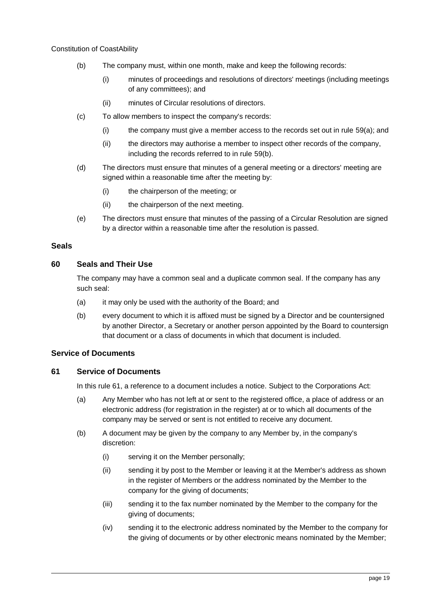- <span id="page-22-4"></span>(b) The company must, within one month, make and keep the following records:
	- (i) minutes of proceedings and resolutions of directors' meetings (including meetings of any committees); and
	- (ii) minutes of Circular resolutions of directors.
- (c) To allow members to inspect the company's records:
	- $(i)$  the company must give a member access to the records set out in rule [59](#page-21-5)[\(a\);](#page-21-10) and
	- (ii) the directors may authorise a member to inspect other records of the company, including the records referred to in rule [59](#page-21-5)[\(b\).](#page-22-4)
- (d) The directors must ensure that minutes of a general meeting or a directors' meeting are signed within a reasonable time after the meeting by:
	- (i) the chairperson of the meeting; or
	- (ii) the chairperson of the next meeting.
- (e) The directors must ensure that minutes of the passing of a Circular Resolution are signed by a director within a reasonable time after the resolution is passed.

#### <span id="page-22-0"></span>**Seals**

## <span id="page-22-1"></span>**60 Seals and Their Use**

The company may have a common seal and a duplicate common seal. If the company has any such seal:

- (a) it may only be used with the authority of the Board; and
- (b) every document to which it is affixed must be signed by a Director and be countersigned by another Director, a Secretary or another person appointed by the Board to countersign that document or a class of documents in which that document is included.

#### <span id="page-22-2"></span>**Service of Documents**

## <span id="page-22-3"></span>**61 Service of Documents**

In this rule [61,](#page-22-3) a reference to a document includes a notice. Subject to the Corporations Act:

- (a) Any Member who has not left at or sent to the registered office, a place of address or an electronic address (for registration in the register) at or to which all documents of the company may be served or sent is not entitled to receive any document.
- <span id="page-22-5"></span>(b) A document may be given by the company to any Member by, in the company's discretion:
	- (i) serving it on the Member personally;
	- (ii) sending it by post to the Member or leaving it at the Member's address as shown in the register of Members or the address nominated by the Member to the company for the giving of documents;
	- (iii) sending it to the fax number nominated by the Member to the company for the giving of documents;
	- (iv) sending it to the electronic address nominated by the Member to the company for the giving of documents or by other electronic means nominated by the Member;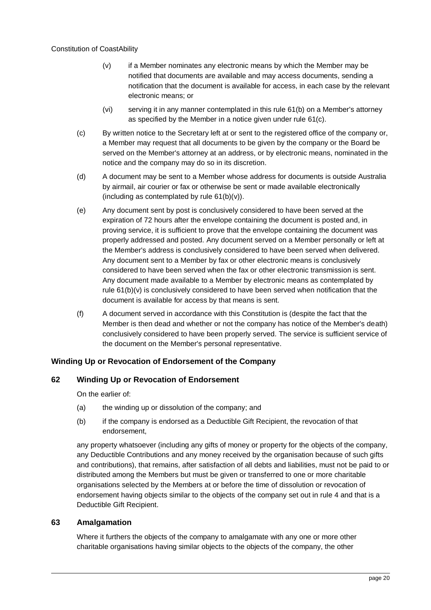- <span id="page-23-4"></span>(v) if a Member nominates any electronic means by which the Member may be notified that documents are available and may access documents, sending a notification that the document is available for access, in each case by the relevant electronic means; or
- (vi) serving it in any manner contemplated in this rule [61\(b\)](#page-22-5) on a Member's attorney as specified by the Member in a notice given under rule [61\(c\).](#page-23-3)
- <span id="page-23-3"></span>(c) By written notice to the Secretary left at or sent to the registered office of the company or, a Member may request that all documents to be given by the company or the Board be served on the Member's attorney at an address, or by electronic means, nominated in the notice and the company may do so in its discretion.
- (d) A document may be sent to a Member whose address for documents is outside Australia by airmail, air courier or fax or otherwise be sent or made available electronically (including as contemplated by rule  $61(b)(v)$ ).
- (e) Any document sent by post is conclusively considered to have been served at the expiration of 72 hours after the envelope containing the document is posted and, in proving service, it is sufficient to prove that the envelope containing the document was properly addressed and posted. Any document served on a Member personally or left at the Member's address is conclusively considered to have been served when delivered. Any document sent to a Member by fax or other electronic means is conclusively considered to have been served when the fax or other electronic transmission is sent. Any document made available to a Member by electronic means as contemplated by rule [61\(b\)\(v\)](#page-23-4) is conclusively considered to have been served when notification that the document is available for access by that means is sent.
- (f) A document served in accordance with this Constitution is (despite the fact that the Member is then dead and whether or not the company has notice of the Member's death) conclusively considered to have been properly served. The service is sufficient service of the document on the Member's personal representative.

## <span id="page-23-0"></span>**Winding Up or Revocation of Endorsement of the Company**

# <span id="page-23-1"></span>**62 Winding Up or Revocation of Endorsement**

On the earlier of:

- (a) the winding up or dissolution of the company; and
- (b) if the company is endorsed as a Deductible Gift Recipient, the revocation of that endorsement,

any property whatsoever (including any gifts of money or property for the objects of the company, any Deductible Contributions and any money received by the organisation because of such gifts and contributions), that remains, after satisfaction of all debts and liabilities, must not be paid to or distributed among the Members but must be given or transferred to one or more charitable organisations selected by the Members at or before the time of dissolution or revocation of endorsement having objects similar to the objects of the company set out in rule [4](#page-5-2) and that is a Deductible Gift Recipient.

#### <span id="page-23-2"></span>**63 Amalgamation**

Where it furthers the objects of the company to amalgamate with any one or more other charitable organisations having similar objects to the objects of the company, the other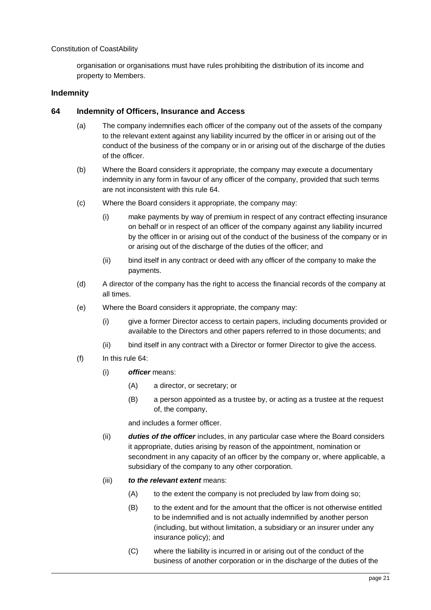organisation or organisations must have rules prohibiting the distribution of its income and property to Members.

#### <span id="page-24-0"></span>**Indemnity**

#### <span id="page-24-3"></span><span id="page-24-1"></span>**64 Indemnity of Officers, Insurance and Access**

- (a) The company indemnifies each officer of the company out of the assets of the company to the relevant extent against any liability incurred by the officer in or arising out of the conduct of the business of the company or in or arising out of the discharge of the duties of the officer.
- (b) Where the Board considers it appropriate, the company may execute a documentary indemnity in any form in favour of any officer of the company, provided that such terms are not inconsistent with this rule [64.](#page-24-1)
- <span id="page-24-2"></span>(c) Where the Board considers it appropriate, the company may:
	- (i) make payments by way of premium in respect of any contract effecting insurance on behalf or in respect of an officer of the company against any liability incurred by the officer in or arising out of the conduct of the business of the company or in or arising out of the discharge of the duties of the officer; and
	- (ii) bind itself in any contract or deed with any officer of the company to make the payments.
- (d) A director of the company has the right to access the financial records of the company at all times.
- (e) Where the Board considers it appropriate, the company may:
	- (i) give a former Director access to certain papers, including documents provided or available to the Directors and other papers referred to in those documents; and
	- (ii) bind itself in any contract with a Director or former Director to give the access.
- (f) In this rule [64:](#page-24-1)
	- (i) *officer* means:
		- (A) a director, or secretary; or
		- (B) a person appointed as a trustee by, or acting as a trustee at the request of, the company,

and includes a former officer.

- (ii) *duties of the officer* includes, in any particular case where the Board considers it appropriate, duties arising by reason of the appointment, nomination or secondment in any capacity of an officer by the company or, where applicable, a subsidiary of the company to any other corporation.
- (iii) *to the relevant extent* means:
	- (A) to the extent the company is not precluded by law from doing so;
	- (B) to the extent and for the amount that the officer is not otherwise entitled to be indemnified and is not actually indemnified by another person (including, but without limitation, a subsidiary or an insurer under any insurance policy); and
	- (C) where the liability is incurred in or arising out of the conduct of the business of another corporation or in the discharge of the duties of the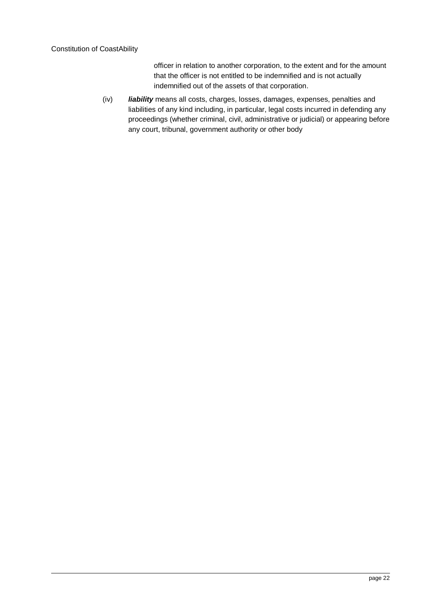officer in relation to another corporation, to the extent and for the amount that the officer is not entitled to be indemnified and is not actually indemnified out of the assets of that corporation.

(iv) *liability* means all costs, charges, losses, damages, expenses, penalties and liabilities of any kind including, in particular, legal costs incurred in defending any proceedings (whether criminal, civil, administrative or judicial) or appearing before any court, tribunal, government authority or other body